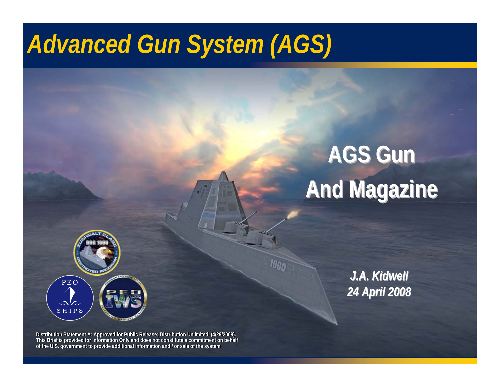## *Advanced Gun System (AGS)*

# **AGS Gun AGS Gun And Magazine And Magazine And Magazine**



**Distribution Statement A: Approved for Public Release; Distribution Unlimited. (4/29/2008). This Brief is provided for Information Only and does not constitute a commitment on behalf of the U.S. government to provide additional information and / or sale of the system of the U.S. government to provide additional information and / or sale of the system Distribution Statement A: Approved for Public Release; Distribution Unlimited. (4/29/2008). This Brief is provided for Information Only and does not constitute a commitment on behalf** 

*J.A. Kidwell J.A. Kidwell 24 April 2008 24 April 2008*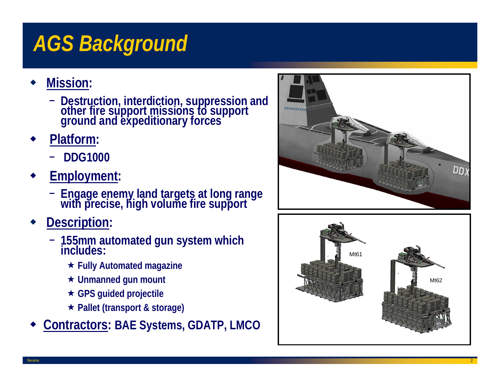## *AGS Background*

- ♦ **Mission:** 
	- **Destruction, interdiction, suppression and other fire support missions to support ground and expeditionary forces**
- ♦ **Platform:**
	- **DDG1000**
- ♦ **Employment:**
	- − **Engage enemy land targets at long range with precise, high volume fire support**
- ♦ **Description:**
	- − **155mm automated gun system which includes:**
		- **Fully Automated magazine**
		- **Unmanned gun mount**
		- **GPS guided projectile**
		- **Pallet (transport & storage)**
- ♦ **Contractors: BAE Systems, GDATP, LMCO**



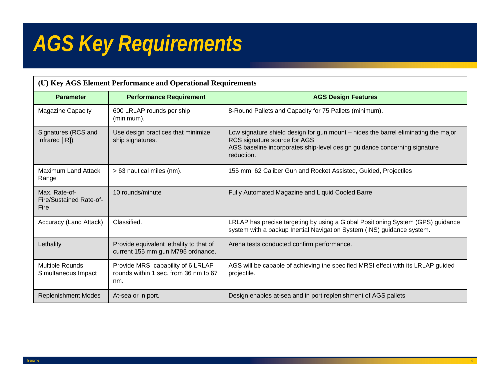## *AGS Key Requirements*

| (U) Key AGS Element Performance and Operational Requirements |                                                                                    |                                                                                                                                                                                                                |
|--------------------------------------------------------------|------------------------------------------------------------------------------------|----------------------------------------------------------------------------------------------------------------------------------------------------------------------------------------------------------------|
| <b>Parameter</b>                                             | <b>Performance Requirement</b>                                                     | <b>AGS Design Features</b>                                                                                                                                                                                     |
| <b>Magazine Capacity</b>                                     | 600 LRLAP rounds per ship<br>(minimum).                                            | 8-Round Pallets and Capacity for 75 Pallets (minimum).                                                                                                                                                         |
| Signatures (RCS and<br>Infrared [IR])                        | Use design practices that minimize<br>ship signatures.                             | Low signature shield design for gun mount – hides the barrel eliminating the major<br>RCS signature source for AGS.<br>AGS baseline incorporates ship-level design guidance concerning signature<br>reduction. |
| <b>Maximum Land Attack</b><br>Range                          | > 63 nautical miles (nm).                                                          | 155 mm, 62 Caliber Gun and Rocket Assisted, Guided, Projectiles                                                                                                                                                |
| Max. Rate-of-<br>Fire/Sustained Rate-of-<br>Fire             | 10 rounds/minute                                                                   | Fully Automated Magazine and Liquid Cooled Barrel                                                                                                                                                              |
| Accuracy (Land Attack)                                       | Classified.                                                                        | LRLAP has precise targeting by using a Global Positioning System (GPS) guidance<br>system with a backup Inertial Navigation System (INS) guidance system.                                                      |
| Lethality                                                    | Provide equivalent lethality to that of<br>current 155 mm gun M795 ordnance.       | Arena tests conducted confirm performance.                                                                                                                                                                     |
| <b>Multiple Rounds</b><br>Simultaneous Impact                | Provide MRSI capability of 6 LRLAP<br>rounds within 1 sec. from 36 nm to 67<br>nm. | AGS will be capable of achieving the specified MRSI effect with its LRLAP guided<br>projectile.                                                                                                                |
| <b>Replenishment Modes</b>                                   | At-sea or in port.                                                                 | Design enables at-sea and in port replenishment of AGS pallets                                                                                                                                                 |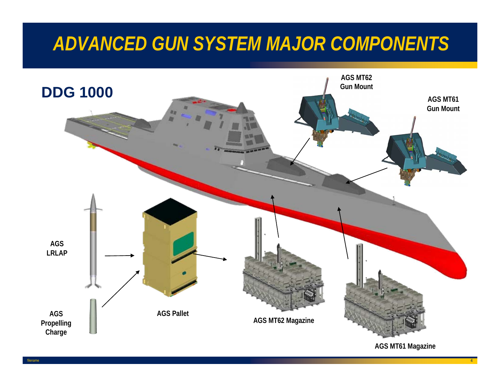#### *ADVANCED GUN SYSTEM MAJOR COMPONENTS*



**AGS MT61 Magazine**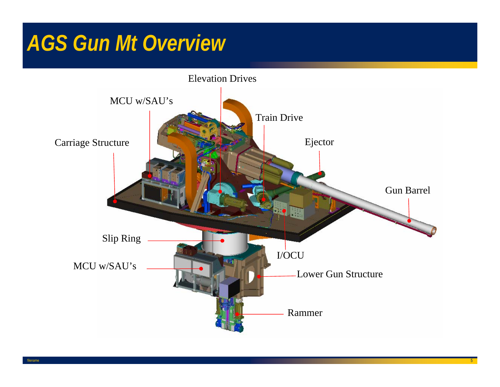#### *AGS Gun Mt Overview*

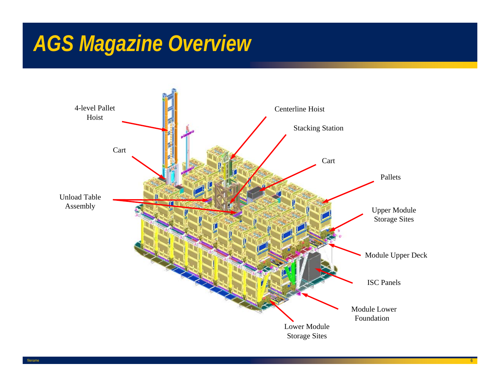### *AGS Magazine Overview*

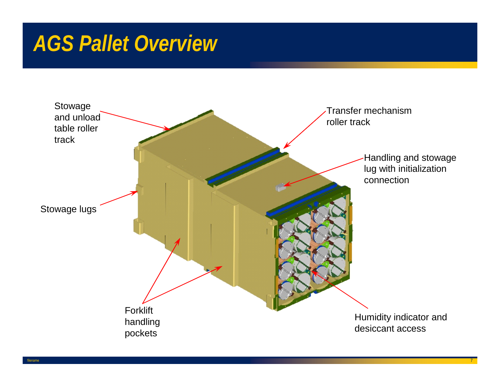#### *AGS Pallet Overview*

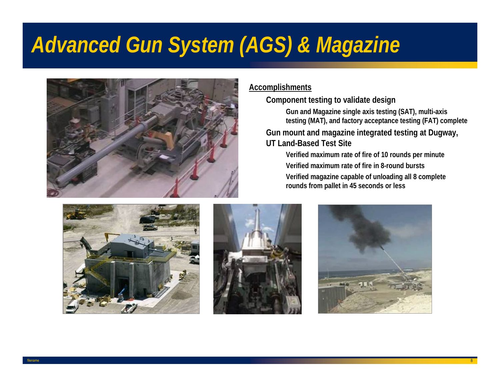## *Advanced Gun System (AGS) & Magazine*



#### **Accomplishments**

**Component testing to validate design**

 **Gun and Magazine single axis testing (SAT), multi-axis testing (MAT), and factory acceptance testing (FAT) complete**

 **Gun mount and magazine integrated testing at Dugway, UT Land-Based Test Site** 

 **Verified maximum rate of fire of 10 rounds per minute Verified maximum rate of fire in 8-round bursts Verified magazine capable of unloading all 8 complete rounds from pallet in 45 seconds or less**





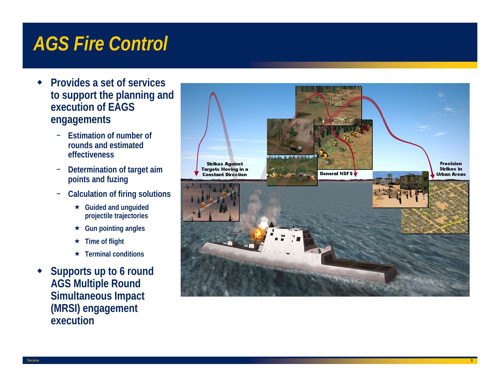#### *AGS Fire Control*

- $\bullet$  **Provides a set of services to support the planning and execution of EAGS engagements**
	- − **Estimation of number of rounds and estimated effectiveness**
	- − **Determination of target aim points and fuzing**
	- − **Calculation of firing solutions**
		- **Guided and unguided projectile trajectories**
		- **Gun pointing angles**
		- $\star$ **Time of flight**
		- **Terminal conditions**
- ◆ **Supports up to 6 round AGS Multiple Round Simultaneous Impact (MRSI) engagement execution**

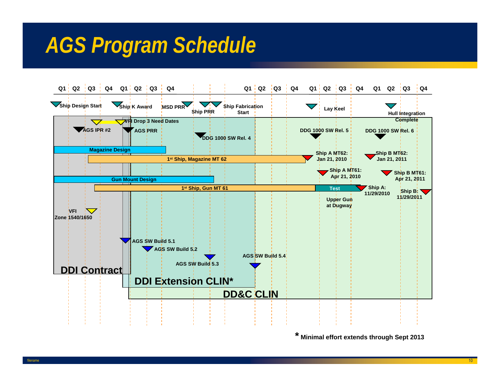## *AGS Program Schedule*



**\* Minimal effort extends through Sept 2013**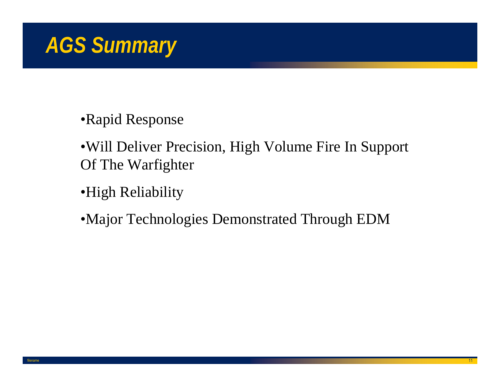

#### •Rapid Response

- •Will Deliver Precision, High Volume Fire In Support Of The Warfighter
- •High Reliability
- •Major Technologies Demonstrated Through EDM